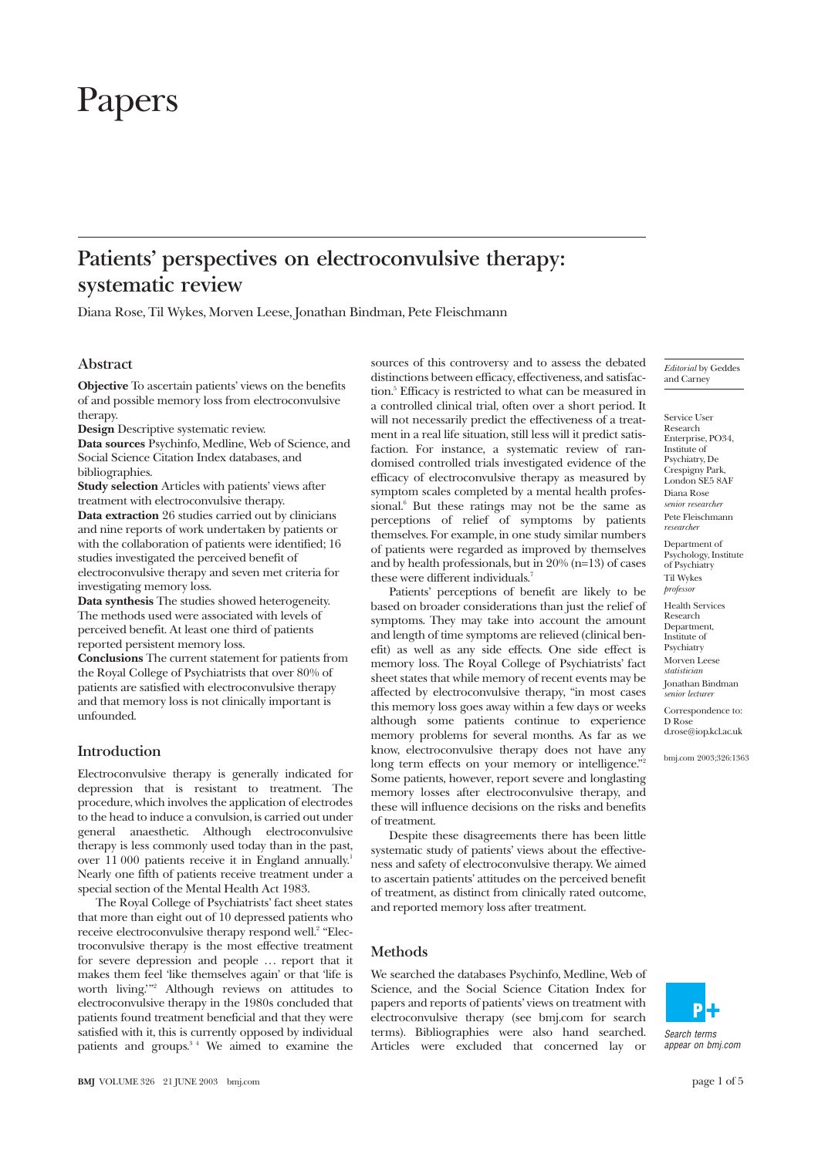# Papers

# **Patients' perspectives on electroconvulsive therapy: systematic review**

Diana Rose, Til Wykes, Morven Leese, Jonathan Bindman, Pete Fleischmann

# **Abstract**

**Objective** To ascertain patients' views on the benefits of and possible memory loss from electroconvulsive therapy.

**Design** Descriptive systematic review.

**Data sources** Psychinfo, Medline, Web of Science, and Social Science Citation Index databases, and bibliographies.

**Study selection** Articles with patients' views after treatment with electroconvulsive therapy.

**Data extraction** 26 studies carried out by clinicians and nine reports of work undertaken by patients or with the collaboration of patients were identified; 16 studies investigated the perceived benefit of electroconvulsive therapy and seven met criteria for investigating memory loss.

**Data synthesis** The studies showed heterogeneity. The methods used were associated with levels of perceived benefit. At least one third of patients reported persistent memory loss.

**Conclusions** The current statement for patients from the Royal College of Psychiatrists that over 80% of patients are satisfied with electroconvulsive therapy and that memory loss is not clinically important is unfounded.

# **Introduction**

Electroconvulsive therapy is generally indicated for depression that is resistant to treatment. The procedure, which involves the application of electrodes to the head to induce a convulsion, is carried out under general anaesthetic. Although electroconvulsive therapy is less commonly used today than in the past, over 11 000 patients receive it in England annually.<sup>1</sup> Nearly one fifth of patients receive treatment under a special section of the Mental Health Act 1983.

The Royal College of Psychiatrists' fact sheet states that more than eight out of 10 depressed patients who receive electroconvulsive therapy respond well.<sup>2</sup> "Electroconvulsive therapy is the most effective treatment for severe depression and people ... report that it makes them feel 'like themselves again' or that 'life is worth living.'"2 Although reviews on attitudes to electroconvulsive therapy in the 1980s concluded that patients found treatment beneficial and that they were satisfied with it, this is currently opposed by individual patients and groups.<sup>34</sup> We aimed to examine the

will not necessarily predict the effectiveness of a treatment in a real life situation, still less will it predict satisfaction. For instance, a systematic review of randomised controlled trials investigated evidence of the efficacy of electroconvulsive therapy as measured by symptom scales completed by a mental health professional.<sup>6</sup> But these ratings may not be the same as perceptions of relief of symptoms by patients themselves. For example, in one study similar numbers of patients were regarded as improved by themselves and by health professionals, but in 20% (n=13) of cases these were different individuals.<sup>7</sup> Patients' perceptions of benefit are likely to be based on broader considerations than just the relief of

sources of this controversy and to assess the debated distinctions between efficacy, effectiveness, and satisfaction.<sup>5</sup> Efficacy is restricted to what can be measured in a controlled clinical trial, often over a short period. It

symptoms. They may take into account the amount and length of time symptoms are relieved (clinical benefit) as well as any side effects. One side effect is memory loss. The Royal College of Psychiatrists' fact sheet states that while memory of recent events may be affected by electroconvulsive therapy, "in most cases this memory loss goes away within a few days or weeks although some patients continue to experience memory problems for several months. As far as we know, electroconvulsive therapy does not have any long term effects on your memory or intelligence." Some patients, however, report severe and longlasting memory losses after electroconvulsive therapy, and these will influence decisions on the risks and benefits of treatment.

Despite these disagreements there has been little systematic study of patients' views about the effectiveness and safety of electroconvulsive therapy. We aimed to ascertain patients' attitudes on the perceived benefit of treatment, as distinct from clinically rated outcome, and reported memory loss after treatment.

#### **Methods**

We searched the databases Psychinfo, Medline, Web of Science, and the Social Science Citation Index for papers and reports of patients' views on treatment with electroconvulsive therapy (see bmj.com for search terms). Bibliographies were also hand searched. Articles were excluded that concerned lay or *Editorial* by Geddes and Carney

Service User Research Enterprise, PO34, Institute of Psychiatry, De Crespigny Park, London  $S$ F5 8 $\triangle$ F Diana Rose *senior researcher* Pete Fleischmann *researcher* Department of Psychology, Institute of Psychiatry Til Wykes *professor* Health Services Research Department, Institute of **Psychiatry** Morven Leese *statistician*

Jonathan Bindman *senior lecturer*

Correspondence to: D Rose d.rose@iop.kcl.ac.uk

bmj.com 2003;326:1363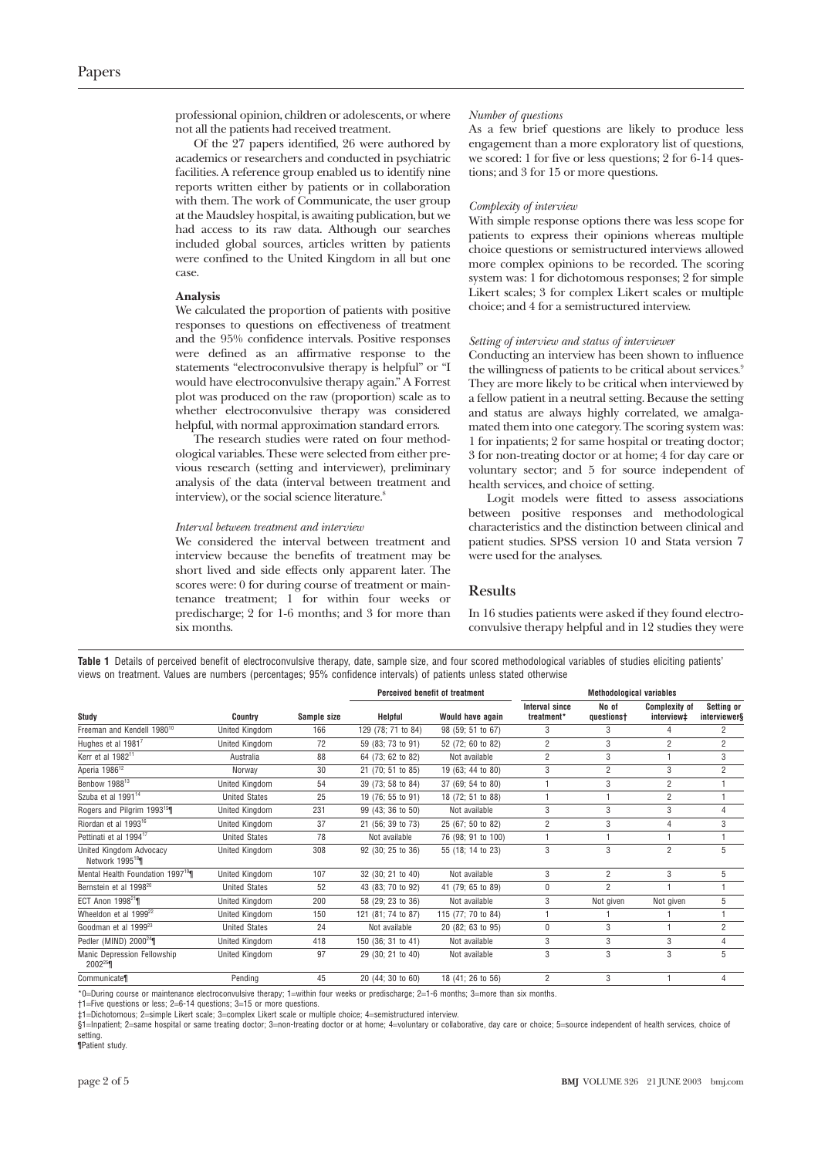professional opinion, children or adolescents, or where not all the patients had received treatment.

Of the 27 papers identified, 26 were authored by academics or researchers and conducted in psychiatric facilities. A reference group enabled us to identify nine reports written either by patients or in collaboration with them. The work of Communicate, the user group at the Maudsley hospital, is awaiting publication, but we had access to its raw data. Although our searches included global sources, articles written by patients were confined to the United Kingdom in all but one case.

#### **Analysis**

We calculated the proportion of patients with positive responses to questions on effectiveness of treatment and the 95% confidence intervals. Positive responses were defined as an affirmative response to the statements "electroconvulsive therapy is helpful" or "I would have electroconvulsive therapy again." A Forrest plot was produced on the raw (proportion) scale as to whether electroconvulsive therapy was considered helpful, with normal approximation standard errors.

The research studies were rated on four methodological variables. These were selected from either previous research (setting and interviewer), preliminary analysis of the data (interval between treatment and interview), or the social science literature.<sup>8</sup>

#### *Interval between treatment and interview*

We considered the interval between treatment and interview because the benefits of treatment may be short lived and side effects only apparent later. The scores were: 0 for during course of treatment or maintenance treatment; 1 for within four weeks or predischarge; 2 for 1-6 months; and 3 for more than six months.

#### *Number of questions*

As a few brief questions are likely to produce less engagement than a more exploratory list of questions, we scored: 1 for five or less questions; 2 for 6-14 questions; and 3 for 15 or more questions.

#### *Complexity of interview*

With simple response options there was less scope for patients to express their opinions whereas multiple choice questions or semistructured interviews allowed more complex opinions to be recorded. The scoring system was: 1 for dichotomous responses; 2 for simple Likert scales; 3 for complex Likert scales or multiple choice; and 4 for a semistructured interview.

#### *Setting of interview and status of interviewer*

Conducting an interview has been shown to influence the willingness of patients to be critical about services.<sup>9</sup> They are more likely to be critical when interviewed by a fellow patient in a neutral setting. Because the setting and status are always highly correlated, we amalgamated them into one category. The scoring system was: 1 for inpatients; 2 for same hospital or treating doctor; 3 for non-treating doctor or at home; 4 for day care or voluntary sector; and 5 for source independent of health services, and choice of setting.

Logit models were fitted to assess associations between positive responses and methodological characteristics and the distinction between clinical and patient studies. SPSS version 10 and Stata version 7 were used for the analyses.

## **Results**

In 16 studies patients were asked if they found electroconvulsive therapy helpful and in 12 studies they were

**Table 1** Details of perceived benefit of electroconvulsive therapy, date, sample size, and four scored methodological variables of studies eliciting patients' views on treatment. Values are numbers (percentages; 95% confidence intervals) of patients unless stated otherwise

|                                                       |                       |             | Perceived benefit of treatment |                    | <b>Methodological variables</b>     |                     |                                    |                            |
|-------------------------------------------------------|-----------------------|-------------|--------------------------------|--------------------|-------------------------------------|---------------------|------------------------------------|----------------------------|
| Study                                                 | <b>Country</b>        | Sample size | Helpful                        | Would have again   | <b>Interval since</b><br>treatment* | No of<br>questionst | <b>Complexity of</b><br>interview‡ | Setting or<br>interviewer§ |
| Freeman and Kendell 1980 <sup>10</sup>                | United Kingdom        | 166         | 129 (78; 71 to 84)             | 98 (59; 51 to 67)  | 3                                   | 3                   |                                    | 2                          |
| Hughes et al $19817$                                  | United Kingdom        | 72          | 59 (83; 73 to 91)              | 52 (72; 60 to 82)  | $\overline{2}$                      | 3                   | $\overline{2}$                     | $\overline{2}$             |
| Kerr et al 1982 <sup>11</sup>                         | Australia             | 88          | 64 (73; 62 to 82)              | Not available      | $\overline{2}$                      | 3                   |                                    | 3                          |
| Aperia 1986 <sup>12</sup>                             | Norway                | 30          | 21 (70; 51 to 85)              | 19 (63; 44 to 80)  | 3                                   | $\overline{2}$      | 3                                  | $\overline{2}$             |
| Benbow 1988 <sup>13</sup>                             | United Kingdom        | 54          | 39 (73; 58 to 84)              | 37 (69; 54 to 80)  |                                     | 3                   | $\overline{2}$                     |                            |
| Szuba et al 1991 <sup>14</sup>                        | <b>United States</b>  | 25          | 19 (76; 55 to 91)              | 18 (72; 51 to 88)  |                                     |                     | $\overline{2}$                     |                            |
| Rogers and Pilgrim 1993 <sup>15</sup>                 | United Kingdom        | 231         | 99 (43; 36 to 50)              | Not available      | 3                                   | 3                   | 3                                  | 4                          |
| Riordan et al 1993 <sup>16</sup>                      | United Kingdom        | 37          | 21 (56; 39 to 73)              | 25 (67; 50 to 82)  | $\overline{2}$                      | 3                   | 4                                  | 3                          |
| Pettinati et al 1994 <sup>17</sup>                    | <b>United States</b>  | 78          | Not available                  | 76 (98; 91 to 100) |                                     |                     |                                    |                            |
| United Kingdom Advocacy<br>Network 1995 <sup>18</sup> | <b>United Kingdom</b> | 308         | 92 (30; 25 to 36)              | 55 (18; 14 to 23)  | 3                                   | 3                   | $\overline{2}$                     | 5                          |
| Mental Health Foundation 1997 <sup>19</sup>           | United Kingdom        | 107         | 32 (30; 21 to 40)              | Not available      | 3                                   | $\overline{2}$      | 3                                  | 5                          |
| Bernstein et al 1998 <sup>20</sup>                    | <b>United States</b>  | 52          | 43 (83; 70 to 92)              | 41 (79; 65 to 89)  | $\mathbf{0}$                        | $\overline{2}$      |                                    |                            |
| ECT Anon 1998 <sup>21</sup>                           | United Kingdom        | 200         | 58 (29; 23 to 36)              | Not available      | 3                                   | Not given           | Not given                          | 5                          |
| Wheeldon et al 1999 <sup>22</sup>                     | United Kingdom        | 150         | 121 (81; 74 to 87)             | 115 (77; 70 to 84) |                                     |                     |                                    |                            |
| Goodman et al 1999 <sup>23</sup>                      | <b>United States</b>  | 24          | Not available                  | 20 (82; 63 to 95)  | $\theta$                            | 3                   |                                    | $\overline{2}$             |
| Pedler (MIND) $2000^{24}$                             | United Kingdom        | 418         | 150 (36; 31 to 41)             | Not available      | 3                                   | 3                   | 3                                  | 4                          |
| Manic Depression Fellowship<br>$2002^{25}$            | United Kingdom        | 97          | 29 (30; 21 to 40)              | Not available      | 3                                   | 3                   | 3                                  | 5                          |
| Communicate                                           | Pending               | 45          | 20 (44; 30 to 60)              | 18 (41; 26 to 56)  | $\overline{2}$                      | 3                   |                                    |                            |

\*0=During course or maintenance electroconvulsive therapy; 1=within four weeks or predischarge; 2=1-6 months; 3=more than six months.

†1=Five questions or less; 2=6-14 questions; 3=15 or more questions.

‡1=Dichotomous; 2=simple Likert scale; 3=complex Likert scale or multiple choice; 4=semistructured interview.

§1=Inpatient; 2=same hospital or same treating doctor; 3=non-treating doctor or at home; 4=voluntary or collaborative, day care or choice; 5=source independent of health services, choice of setting.

¶Patient study.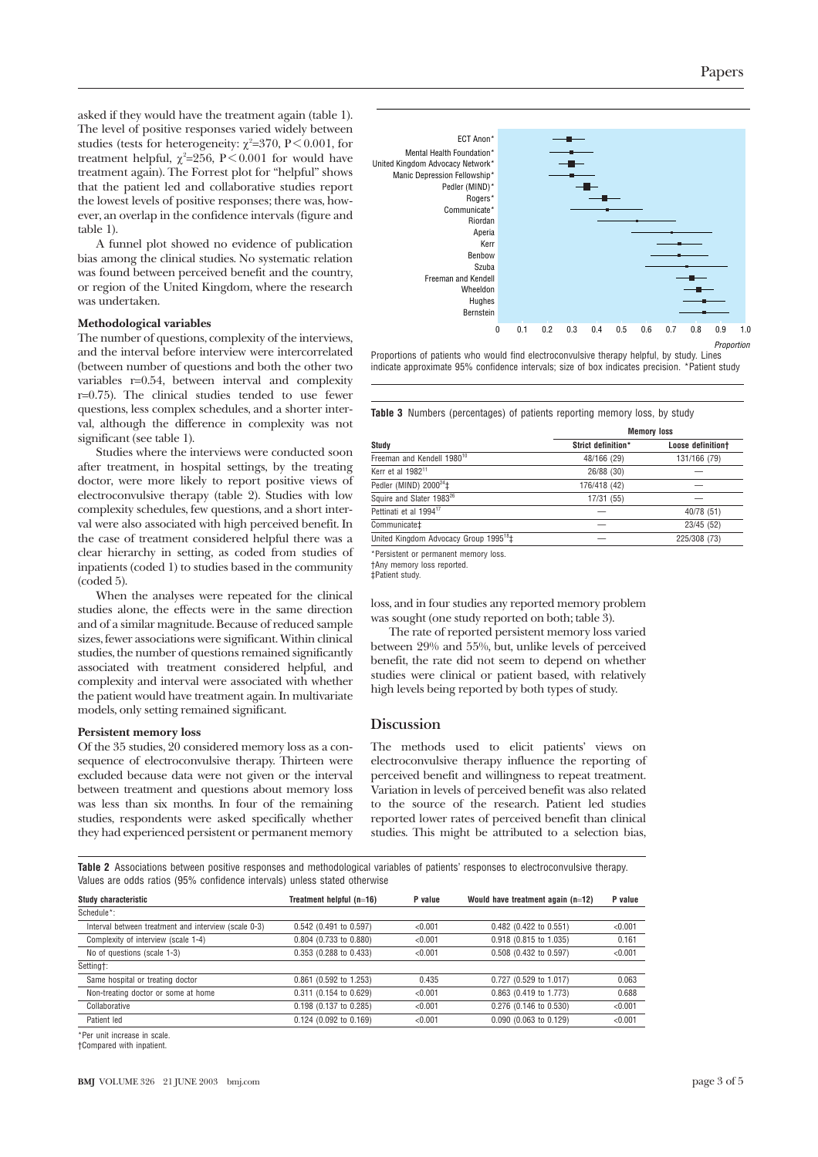asked if they would have the treatment again (table 1). The level of positive responses varied widely between studies (tests for heterogeneity:  $\chi^2$ =370, P < 0.001, for treatment helpful,  $\chi^2$ =256, P < 0.001 for would have treatment again). The Forrest plot for "helpful" shows that the patient led and collaborative studies report the lowest levels of positive responses; there was, however, an overlap in the confidence intervals (figure and table 1).

A funnel plot showed no evidence of publication bias among the clinical studies. No systematic relation was found between perceived benefit and the country, or region of the United Kingdom, where the research was undertaken.

## **Methodological variables**

The number of questions, complexity of the interviews, and the interval before interview were intercorrelated (between number of questions and both the other two variables r=0.54, between interval and complexity  $r=0.75$ ). The clinical studies tended to use fewer questions, less complex schedules, and a shorter interval, although the difference in complexity was not significant (see table 1).

Studies where the interviews were conducted soon after treatment, in hospital settings, by the treating doctor, were more likely to report positive views of electroconvulsive therapy (table 2). Studies with low complexity schedules, few questions, and a short interval were also associated with high perceived benefit. In the case of treatment considered helpful there was a clear hierarchy in setting, as coded from studies of inpatients (coded 1) to studies based in the community (coded 5).

When the analyses were repeated for the clinical studies alone, the effects were in the same direction and of a similar magnitude. Because of reduced sample sizes, fewer associations were significant. Within clinical studies, the number of questions remained significantly associated with treatment considered helpful, and complexity and interval were associated with whether the patient would have treatment again. In multivariate models, only setting remained significant.

## **Persistent memory loss**

Of the 35 studies, 20 considered memory loss as a consequence of electroconvulsive therapy. Thirteen were excluded because data were not given or the interval between treatment and questions about memory loss was less than six months. In four of the remaining studies, respondents were asked specifically whether they had experienced persistent or permanent memory



Proportions of patients who would find electroconvulsive therapy helpful, by study. Lines indicate approximate 95% confidence intervals; size of box indicates precision. \*Patient study

**Table 3** Numbers (percentages) of patients reporting memory loss, by study

|                                                    | <b>Memory loss</b> |                   |  |  |  |
|----------------------------------------------------|--------------------|-------------------|--|--|--|
| Study                                              | Strict definition* | Loose definitiont |  |  |  |
| Freeman and Kendell 1980 <sup>10</sup>             | 48/166 (29)        | 131/166 (79)      |  |  |  |
| Kerr et al 1982 <sup>11</sup>                      | 26/88 (30)         |                   |  |  |  |
| Pedler (MIND) $2000^{24}$ ‡                        | 176/418 (42)       |                   |  |  |  |
| Squire and Slater 1983 <sup>26</sup>               | 17/31 (55)         |                   |  |  |  |
| Pettinati et al 1994 <sup>17</sup>                 |                    | 40/78 (51)        |  |  |  |
| Communicate‡                                       |                    | 23/45 (52)        |  |  |  |
| United Kingdom Advocacy Group 1995 <sup>18</sup> ‡ |                    | 225/308 (73)      |  |  |  |
|                                                    |                    |                   |  |  |  |

\*Persistent or permanent memory loss.

†Any memory loss reported. ‡Patient study.

loss, and in four studies any reported memory problem was sought (one study reported on both; table 3).

The rate of reported persistent memory loss varied between 29% and 55%, but, unlike levels of perceived benefit, the rate did not seem to depend on whether studies were clinical or patient based, with relatively high levels being reported by both types of study.

# **Discussion**

The methods used to elicit patients' views on electroconvulsive therapy influence the reporting of perceived benefit and willingness to repeat treatment. Variation in levels of perceived benefit was also related to the source of the research. Patient led studies reported lower rates of perceived benefit than clinical studies. This might be attributed to a selection bias,

**Table 2** Associations between positive responses and methodological variables of patients' responses to electroconvulsive therapy. Values are odds ratios (95% confidence intervals) unless stated otherwise

| Study characteristic                                 | Treatment helpful (n=16) | P value | Would have treatment again $(n=12)$ | P value |  |
|------------------------------------------------------|--------------------------|---------|-------------------------------------|---------|--|
| Schedule*:                                           |                          |         |                                     |         |  |
| Interval between treatment and interview (scale 0-3) | 0.542 (0.491 to 0.597)   | < 0.001 | 0.482 (0.422 to 0.551)              | < 0.001 |  |
| Complexity of interview (scale 1-4)                  | 0.804 (0.733 to 0.880)   | < 0.001 | 0.918 (0.815 to 1.035)              | 0.161   |  |
| No of questions (scale 1-3)                          | 0.353 (0.288 to 0.433)   | < 0.001 | 0.508 (0.432 to 0.597)              | < 0.001 |  |
| Setting†:                                            |                          |         |                                     |         |  |
| Same hospital or treating doctor                     | 0.861 (0.592 to 1.253)   | 0.435   | 0.727 (0.529 to 1.017)              | 0.063   |  |
| Non-treating doctor or some at home                  | 0.311 (0.154 to 0.629)   | < 0.001 | 0.863 (0.419 to 1.773)              | 0.688   |  |
| Collaborative                                        | 0.198 (0.137 to 0.285)   | < 0.001 | 0.276 (0.146 to 0.530)              | < 0.001 |  |
| Patient led                                          | 0.124 (0.092 to 0.169)   | < 0.001 | 0.090 (0.063 to 0.129)              | < 0.001 |  |
|                                                      |                          |         |                                     |         |  |

\*Per unit increase in scale.

†Compared with inpatient.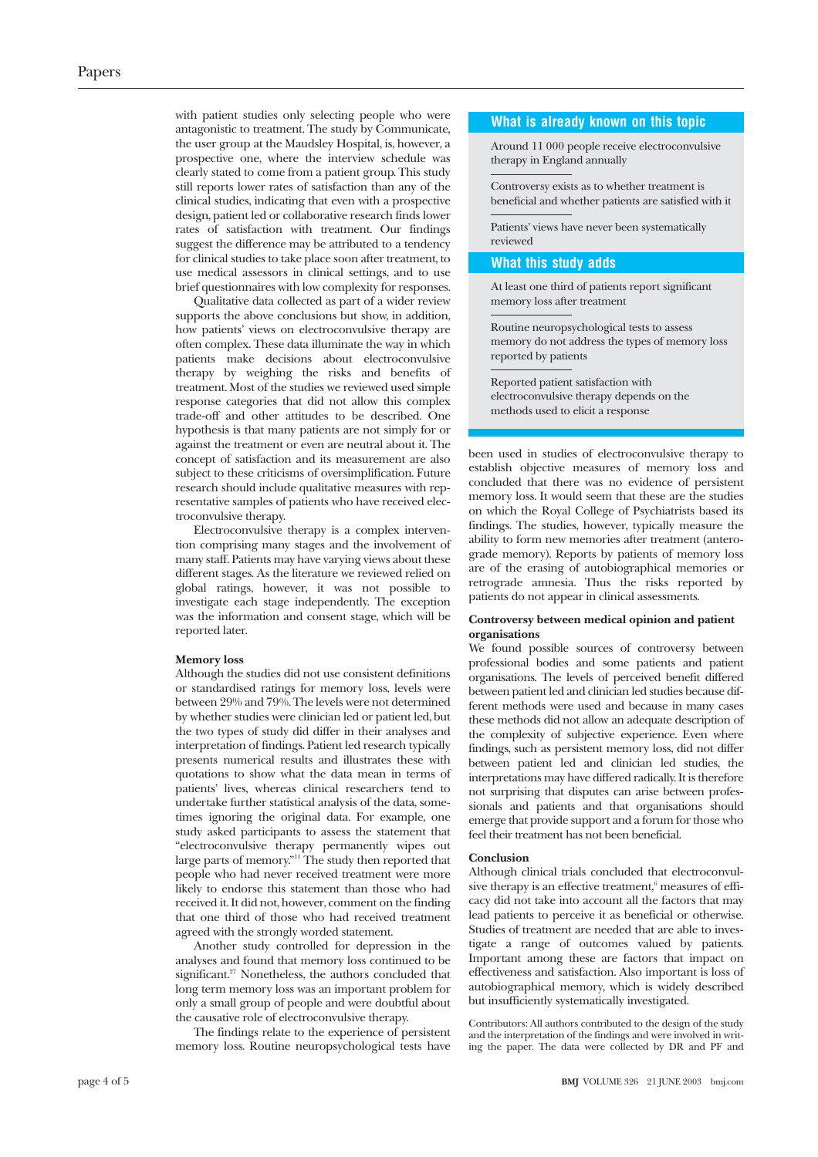with patient studies only selecting people who were antagonistic to treatment. The study by Communicate, the user group at the Maudsley Hospital, is, however, a prospective one, where the interview schedule was clearly stated to come from a patient group. This study still reports lower rates of satisfaction than any of the clinical studies, indicating that even with a prospective design, patient led or collaborative research finds lower rates of satisfaction with treatment. Our findings suggest the difference may be attributed to a tendency for clinical studies to take place soon after treatment, to use medical assessors in clinical settings, and to use brief questionnaires with low complexity for responses.

Qualitative data collected as part of a wider review supports the above conclusions but show, in addition, how patients' views on electroconvulsive therapy are often complex. These data illuminate the way in which patients make decisions about electroconvulsive therapy by weighing the risks and benefits of treatment. Most of the studies we reviewed used simple response categories that did not allow this complex trade-off and other attitudes to be described. One hypothesis is that many patients are not simply for or against the treatment or even are neutral about it. The concept of satisfaction and its measurement are also subject to these criticisms of oversimplification. Future research should include qualitative measures with representative samples of patients who have received electroconvulsive therapy.

Electroconvulsive therapy is a complex intervention comprising many stages and the involvement of many staff. Patients may have varying views about these different stages. As the literature we reviewed relied on global ratings, however, it was not possible to investigate each stage independently. The exception was the information and consent stage, which will be reported later.

#### **Memory loss**

Although the studies did not use consistent definitions or standardised ratings for memory loss, levels were between 29% and 79%. The levels were not determined by whether studies were clinician led or patient led, but the two types of study did differ in their analyses and interpretation of findings. Patient led research typically presents numerical results and illustrates these with quotations to show what the data mean in terms of patients' lives, whereas clinical researchers tend to undertake further statistical analysis of the data, sometimes ignoring the original data. For example, one study asked participants to assess the statement that "electroconvulsive therapy permanently wipes out large parts of memory."11 The study then reported that people who had never received treatment were more likely to endorse this statement than those who had received it. It did not, however, comment on the finding that one third of those who had received treatment agreed with the strongly worded statement.

Another study controlled for depression in the analyses and found that memory loss continued to be significant.<sup>27</sup> Nonetheless, the authors concluded that long term memory loss was an important problem for only a small group of people and were doubtful about the causative role of electroconvulsive therapy.

The findings relate to the experience of persistent memory loss. Routine neuropsychological tests have

#### **What is already known on this topic**

Around 11 000 people receive electroconvulsive therapy in England annually

Controversy exists as to whether treatment is beneficial and whether patients are satisfied with it

Patients' views have never been systematically reviewed

# **What this study adds**

At least one third of patients report significant memory loss after treatment

Routine neuropsychological tests to assess memory do not address the types of memory loss reported by patients

Reported patient satisfaction with electroconvulsive therapy depends on the methods used to elicit a response

been used in studies of electroconvulsive therapy to establish objective measures of memory loss and concluded that there was no evidence of persistent memory loss. It would seem that these are the studies on which the Royal College of Psychiatrists based its findings. The studies, however, typically measure the ability to form new memories after treatment (anterograde memory). Reports by patients of memory loss are of the erasing of autobiographical memories or retrograde amnesia. Thus the risks reported by patients do not appear in clinical assessments.

#### **Controversy between medical opinion and patient organisations**

We found possible sources of controversy between professional bodies and some patients and patient organisations. The levels of perceived benefit differed between patient led and clinician led studies because different methods were used and because in many cases these methods did not allow an adequate description of the complexity of subjective experience. Even where findings, such as persistent memory loss, did not differ between patient led and clinician led studies, the interpretations may have differed radically. It is therefore not surprising that disputes can arise between professionals and patients and that organisations should emerge that provide support and a forum for those who feel their treatment has not been beneficial.

#### **Conclusion**

Although clinical trials concluded that electroconvulsive therapy is an effective treatment,<sup>6</sup> measures of efficacy did not take into account all the factors that may lead patients to perceive it as beneficial or otherwise. Studies of treatment are needed that are able to investigate a range of outcomes valued by patients. Important among these are factors that impact on effectiveness and satisfaction. Also important is loss of autobiographical memory, which is widely described but insufficiently systematically investigated.

Contributors: All authors contributed to the design of the study and the interpretation of the findings and were involved in writing the paper. The data were collected by DR and PF and